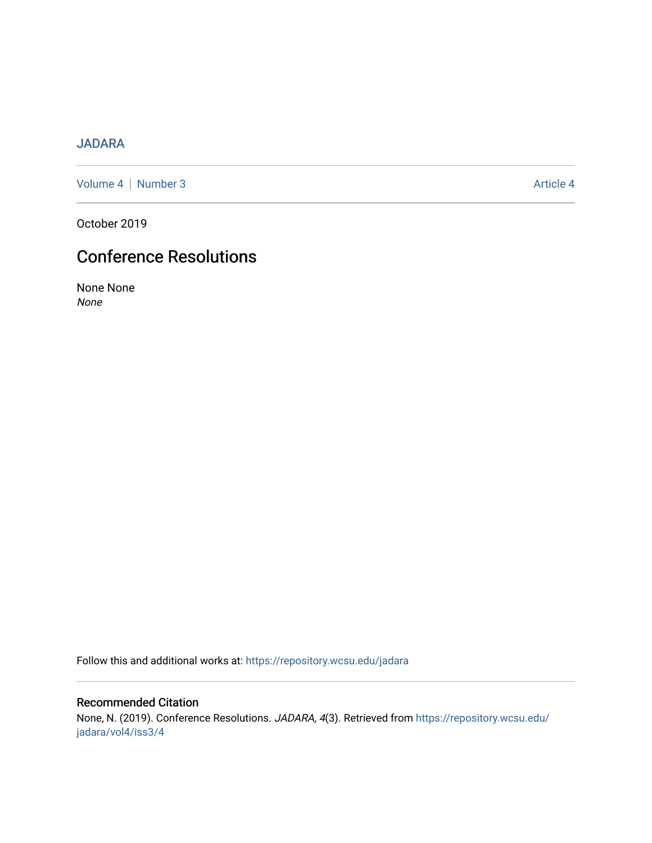## [JADARA](https://repository.wcsu.edu/jadara)

[Volume 4](https://repository.wcsu.edu/jadara/vol4) | [Number 3](https://repository.wcsu.edu/jadara/vol4/iss3) Article 4

October 2019

# Conference Resolutions

None None None

Follow this and additional works at: [https://repository.wcsu.edu/jadara](https://repository.wcsu.edu/jadara?utm_source=repository.wcsu.edu%2Fjadara%2Fvol4%2Fiss3%2F4&utm_medium=PDF&utm_campaign=PDFCoverPages)

## Recommended Citation

None, N. (2019). Conference Resolutions. JADARA, 4(3). Retrieved from [https://repository.wcsu.edu/](https://repository.wcsu.edu/jadara/vol4/iss3/4?utm_source=repository.wcsu.edu%2Fjadara%2Fvol4%2Fiss3%2F4&utm_medium=PDF&utm_campaign=PDFCoverPages) [jadara/vol4/iss3/4](https://repository.wcsu.edu/jadara/vol4/iss3/4?utm_source=repository.wcsu.edu%2Fjadara%2Fvol4%2Fiss3%2F4&utm_medium=PDF&utm_campaign=PDFCoverPages)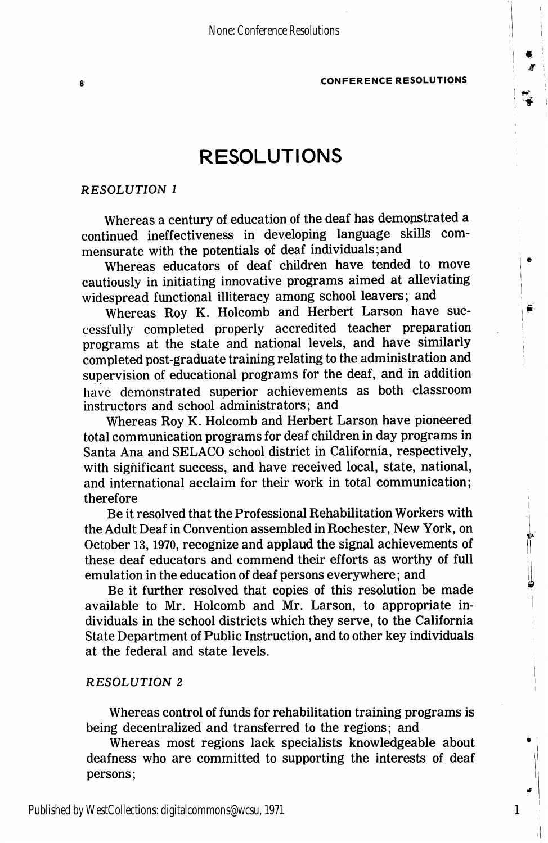## RESOLUTIONS

#### RESOLUTION I

Whereas a century of education of the deaf has demonstrated a continued ineffectiveness in developing language skills com mensurate with the potentials of deaf individuals;and

Whereas educators of deaf children have tended to move cautiously in initiating innovative programs aimed at alleviating widespread functional illiteracy among school leavers; and

Whereas Roy K. Holcomb and Herbert Larson have suc cessfully completed properly accredited teacher preparation programs at the state and national levels, and have similarly completed post-graduate training relating to the administration and supervision of educational programs for the deaf, and in addition liave demonstrated superior achievements as both classroom instructors and school administrators; and

Whereas Roy K. Holcomb and Herbert Larson have pioneered total communication programs for deaf children in day programs in Santa Ana and SELACO school district in California, respectively, with significant success, and have received local, state, national, and international acclaim for their work in total communication; therefore

Be it resolved that the Professional Rehabilitation Workers with the Adult Deaf in Convention assembled in Rochester, New York, on October 13,1970, recognize and applaud the signal achievements of these deaf educators and commend their efforts as worthy of full emulation in the education of deaf persons everywhere; and

Be it further resolved that copies of this resolution be made available to Mr. Holcomb and Mr. Larson, to appropriate in dividuals in the school districts which they serve, to the California State Department of Public Instruction, and to other key individuals at the federal and state levels.

#### RESOLUTION 2

Whereas control of funds for rehabilitation training programs is being decentralized and transferred to the regions; and

Whereas most regions lack specialists knowledgeable about deafness who are committed to supporting the interests of deaf persons;

1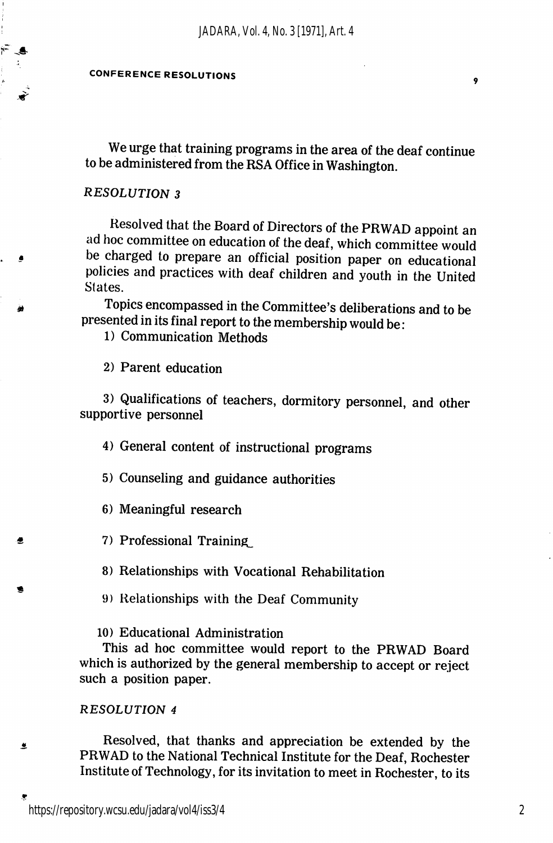We urge that training programs in the area of the deaf continue to be administered from the RSA Office in Washington.

#### RESOLUTION 3

Resolved that the Board of Directors of the PRWAD appoint an ad hoc committee on education of the deaf, which committee would be charged to prepare an official position paper on educational policies and practices with deaf children and youth in the United Slates.

Topics encompassed in the Committee's deliberations and to be presented in its final report to the membership would be:

1) Communication Methods

2) Parent education

3) Qualifications of teachers, dormitory personnel, and other supportive personnel

4) General content of instructional programs

5) Counseling and guidance authorities

6) Meaningful research

7) Professional Training,

8) Relationships with Vocational Rehabilitation

9) Relationships with the Deaf Community

10) Educational Administration

This ad hoc committee would report to the PRWAD Board which is authorized by the general membership to accept or reject such a position paper.

#### RESOLUTION 4

鱼

 $\bullet$ 

Resolved, that thanks and appreciation be extended by the PRWAD to the National Technical Institute for the Deaf, Rochester Institute of Technology, for its invitation to meet in Rochester, to its

9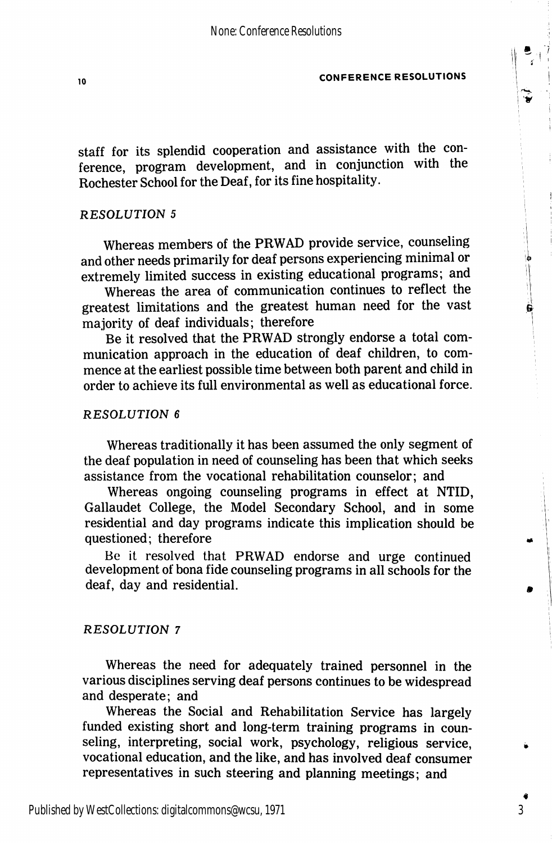staff for its splendid cooperation and assistance with the con ference, program development, and in conjunction with the Rochester School for the Deaf, for its fine hospitality.

#### RESOLUTION 5

Whereas members of the PRWAD provide service, counseling and other needs primarily for deaf persons experiencing minimal or extremely limited success in existing educational programs; and

Whereas the area of communication continues to reflect the greatest limitations and the greatest human need for the vast majority of deaf individuals; therefore

Be it resolved that the PRWAD strongly endorse a total com munication approach in the education of deaf children, to com mence at the earliest possible time between both parent and child in order to achieve its full environmental as well as educational force.

#### RESOLUTION 6

Whereas traditionally it has been assumed the only segment of the deaf population in need of counseling has been that which seeks assistance from the vocational rehabilitation counselor; and

Whereas ongoing counseling programs in effect at NTID, Gallaudet College, the Model Secondary School, and in some residential and day programs indicate this implication should be questioned; therefore

Be it resolved that PRWAD endorse and urge continued development of bona fide counseling programs in all schools for the deaf, day and residential.

#### RESOLUTION 7

Whereas the need for adequately trained personnel in the various disciplines serving deaf persons continues to be widespread and desperate; and

Whereas the Social and Rehabilitation Service has largely funded existing short and long-term training programs in coun seling, interpreting, social work, psychology, religious service, vocational education, and the like, and has involved deaf consumer representatives in such steering and planning meetings; and

3